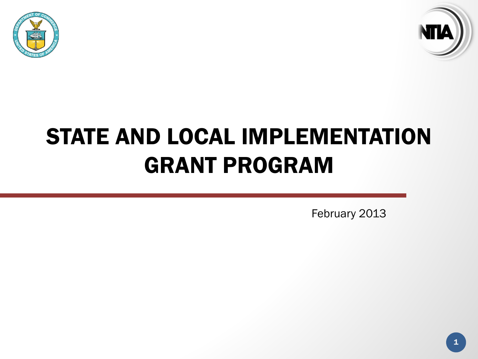



# STATE AND LOCAL IMPLEMENTATION GRANT PROGRAM

February 2013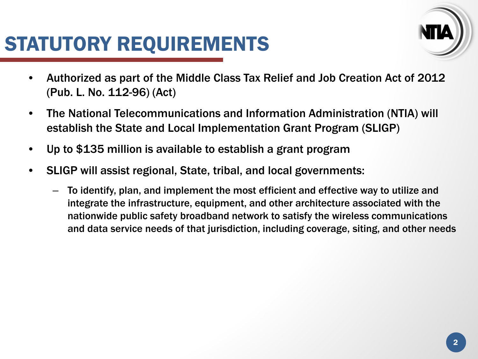## STATUTORY REQUIREMENTS



- Authorized as part of the Middle Class Tax Relief and Job Creation Act of 2012 (Pub. L. No. 112-96) (Act)
- The National Telecommunications and Information Administration (NTIA) will establish the State and Local Implementation Grant Program (SLIGP)
- Up to \$135 million is available to establish a grant program
- SLIGP will assist regional, State, tribal, and local governments:
	- To identify, plan, and implement the most efficient and effective way to utilize and integrate the infrastructure, equipment, and other architecture associated with the nationwide public safety broadband network to satisfy the wireless communications and data service needs of that jurisdiction, including coverage, siting, and other needs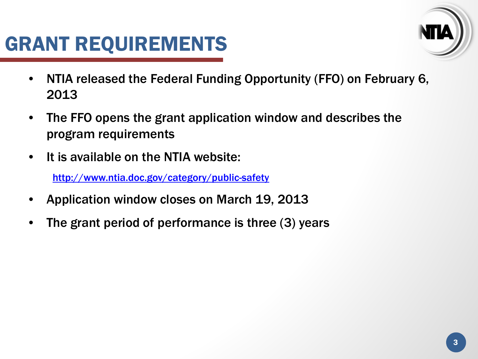# GRANT REQUIREMENTS



- NTIA released the Federal Funding Opportunity (FFO) on February 6, 2013
- The FFO opens the grant application window and describes the program requirements
- It is available on the NTIA website:

<http://www.ntia.doc.gov/category/public-safety>

- Application window closes on March 19, 2013
- The grant period of performance is three (3) years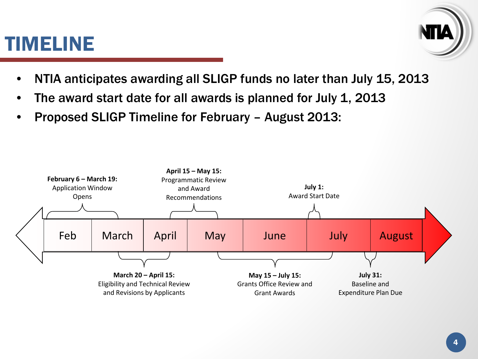### TIMELINE



- NTIA anticipates awarding all SLIGP funds no later than July 15, 2013
- The award start date for all awards is planned for July 1, 2013
- Proposed SLIGP Timeline for February August 2013:

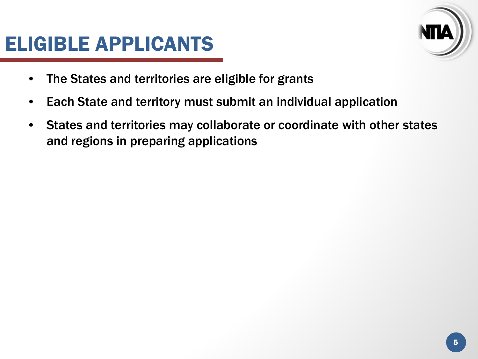### ELIGIBLE APPLICANTS



- The States and territories are eligible for grants
- Each State and territory must submit an individual application
- States and territories may collaborate or coordinate with other states and regions in preparing applications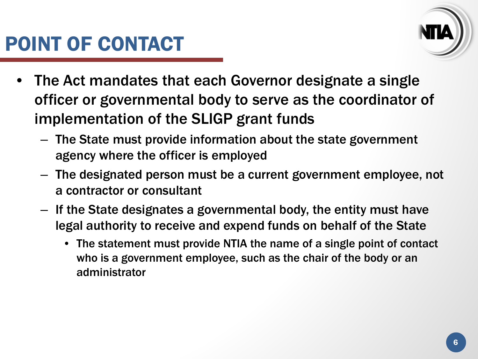

- The Act mandates that each Governor designate a single officer or governmental body to serve as the coordinator of implementation of the SLIGP grant funds
	- The State must provide information about the state government agency where the officer is employed
	- The designated person must be a current government employee, not a contractor or consultant
	- If the State designates a governmental body, the entity must have legal authority to receive and expend funds on behalf of the State
		- The statement must provide NTIA the name of a single point of contact who is a government employee, such as the chair of the body or an administrator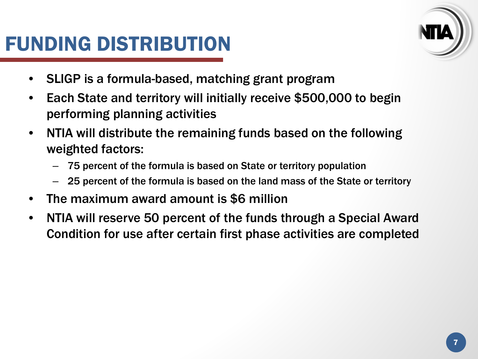# FUNDING DISTRIBUTION



- SLIGP is a formula-based, matching grant program
- Each State and territory will initially receive \$500,000 to begin performing planning activities
- NTIA will distribute the remaining funds based on the following weighted factors:
	- 75 percent of the formula is based on State or territory population
	- 25 percent of the formula is based on the land mass of the State or territory
- The maximum award amount is \$6 million
- NTIA will reserve 50 percent of the funds through a Special Award Condition for use after certain first phase activities are completed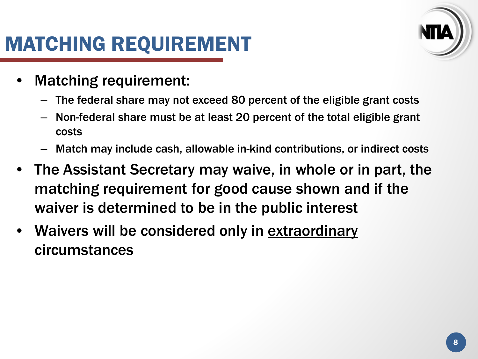# MATCHING REQUIREMENT

- Matching requirement:
	- The federal share may not exceed 80 percent of the eligible grant costs
	- Non-federal share must be at least 20 percent of the total eligible grant costs
	- Match may include cash, allowable in-kind contributions, or indirect costs
- The Assistant Secretary may waive, in whole or in part, the matching requirement for good cause shown and if the waiver is determined to be in the public interest
- Waivers will be considered only in extraordinary circumstances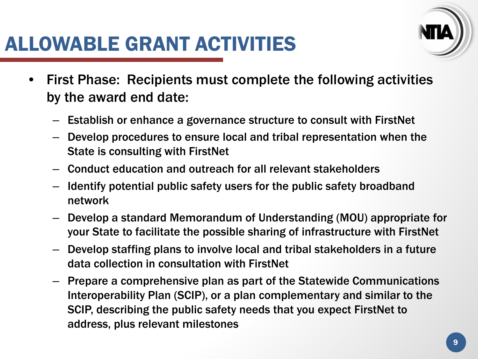

- First Phase: Recipients must complete the following activities by the award end date:
	- Establish or enhance a governance structure to consult with FirstNet
	- Develop procedures to ensure local and tribal representation when the State is consulting with FirstNet
	- Conduct education and outreach for all relevant stakeholders
	- Identify potential public safety users for the public safety broadband network
	- Develop a standard Memorandum of Understanding (MOU) appropriate for your State to facilitate the possible sharing of infrastructure with FirstNet
	- Develop staffing plans to involve local and tribal stakeholders in a future data collection in consultation with FirstNet
	- Prepare a comprehensive plan as part of the Statewide Communications Interoperability Plan (SCIP), or a plan complementary and similar to the SCIP, describing the public safety needs that you expect FirstNet to address, plus relevant milestones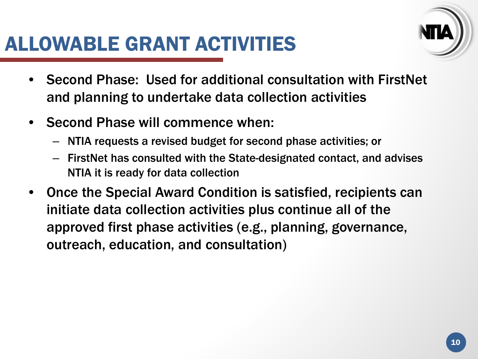### ALLOWABLE GRANT ACTIVITIES



- Second Phase: Used for additional consultation with FirstNet and planning to undertake data collection activities
- Second Phase will commence when:
	- NTIA requests a revised budget for second phase activities; or
	- FirstNet has consulted with the State-designated contact, and advises NTIA it is ready for data collection
- Once the Special Award Condition is satisfied, recipients can initiate data collection activities plus continue all of the approved first phase activities (e.g., planning, governance, outreach, education, and consultation)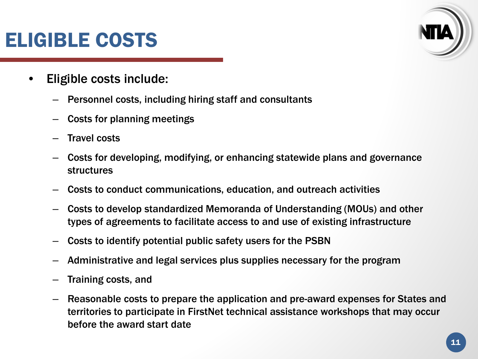# ELIGIBLE COSTS

- Eligible costs include:
	- Personnel costs, including hiring staff and consultants
	- Costs for planning meetings
	- Travel costs
	- Costs for developing, modifying, or enhancing statewide plans and governance structures
	- Costs to conduct communications, education, and outreach activities
	- Costs to develop standardized Memoranda of Understanding (MOUs) and other types of agreements to facilitate access to and use of existing infrastructure
	- Costs to identify potential public safety users for the PSBN
	- Administrative and legal services plus supplies necessary for the program
	- Training costs, and
	- Reasonable costs to prepare the application and pre-award expenses for States and territories to participate in FirstNet technical assistance workshops that may occur before the award start date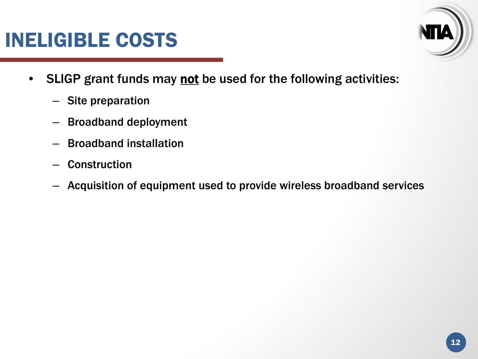### INELIGIBLE COSTS



- SLIGP grant funds may not be used for the following activities:
	- Site preparation
	- Broadband deployment
	- Broadband installation
	- **Construction**
	- Acquisition of equipment used to provide wireless broadband services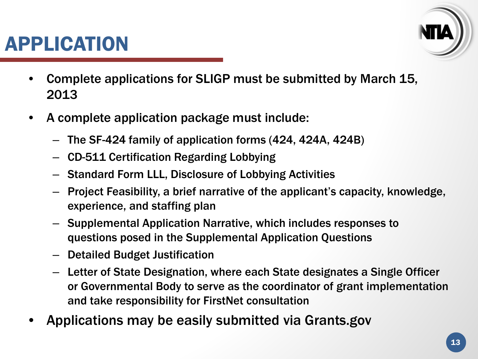



- Complete applications for SLIGP must be submitted by March 15, 2013
- A complete application package must include:
	- The SF-424 family of application forms (424, 424A, 424B)
	- CD-511 Certification Regarding Lobbying
	- Standard Form LLL, Disclosure of Lobbying Activities
	- Project Feasibility, a brief narrative of the applicant's capacity, knowledge, experience, and staffing plan
	- Supplemental Application Narrative, which includes responses to questions posed in the Supplemental Application Questions
	- Detailed Budget Justification
	- Letter of State Designation, where each State designates a Single Officer or Governmental Body to serve as the coordinator of grant implementation and take responsibility for FirstNet consultation
- Applications may be easily submitted via Grants.gov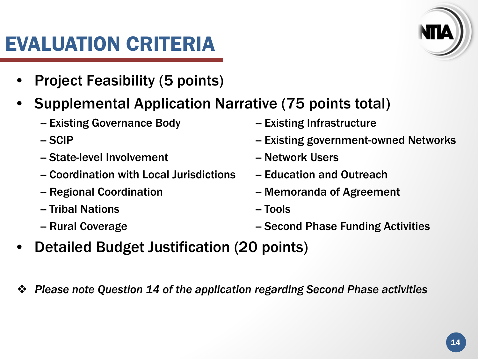# EVALUATION CRITERIA

- Project Feasibility (5 points)
- Supplemental Application Narrative (75 points total)
	- Existing Governance Body -- Existing Infrastructure
	-
	- State-level Involvement -- Network Users
	- Coordination with Local Jurisdictions - Education and Outreach
	-
	- -- Tribal Nations -- Tools
	-
- 
- SCIP -- SCIP -- Existing government-owned Networks
	-
	-
- Regional Coordination **-- Memoranda of Agreement** 
	-
- -- Rural Coverage The Coverage Coverage Coverage Coverage Activities Activities Coverage Coverage Coverage Coverage Coverage Coverage Coverage Coverage Coverage Coverage Coverage Coverage Coverage Coverage Coverage Coverag
- Detailed Budget Justification (20 points)
- *Please note Question 14 of the application regarding Second Phase activities*

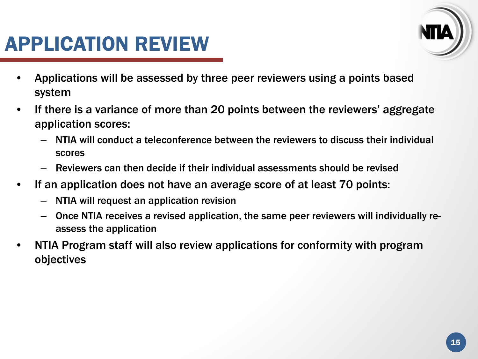# APPLICATION REVIEW



- Applications will be assessed by three peer reviewers using a points based system
- If there is a variance of more than 20 points between the reviewers' aggregate application scores:
	- NTIA will conduct a teleconference between the reviewers to discuss their individual scores
	- Reviewers can then decide if their individual assessments should be revised
- If an application does not have an average score of at least 70 points:
	- NTIA will request an application revision
	- Once NTIA receives a revised application, the same peer reviewers will individually reassess the application
- NTIA Program staff will also review applications for conformity with program objectives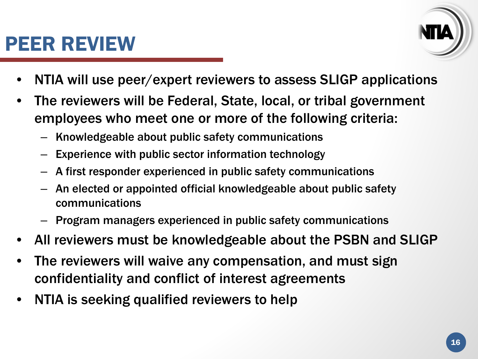# PEER REVIEW



- NTIA will use peer/expert reviewers to assess SLIGP applications
- The reviewers will be Federal, State, local, or tribal government employees who meet one or more of the following criteria:
	- Knowledgeable about public safety communications
	- Experience with public sector information technology
	- A first responder experienced in public safety communications
	- An elected or appointed official knowledgeable about public safety communications
	- Program managers experienced in public safety communications
- All reviewers must be knowledgeable about the PSBN and SLIGP
- The reviewers will waive any compensation, and must sign confidentiality and conflict of interest agreements
- NTIA is seeking qualified reviewers to help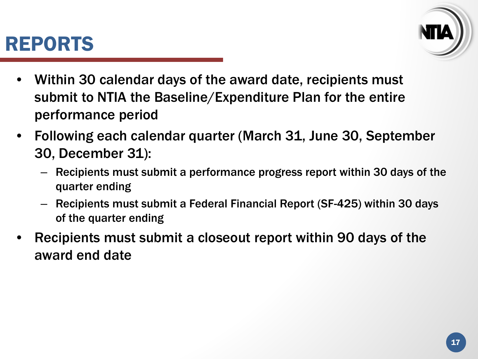#### REPORTS



- Within 30 calendar days of the award date, recipients must submit to NTIA the Baseline/Expenditure Plan for the entire performance period
- Following each calendar quarter (March 31, June 30, September 30, December 31):
	- Recipients must submit a performance progress report within 30 days of the quarter ending
	- Recipients must submit a Federal Financial Report (SF-425) within 30 days of the quarter ending
- Recipients must submit a closeout report within 90 days of the award end date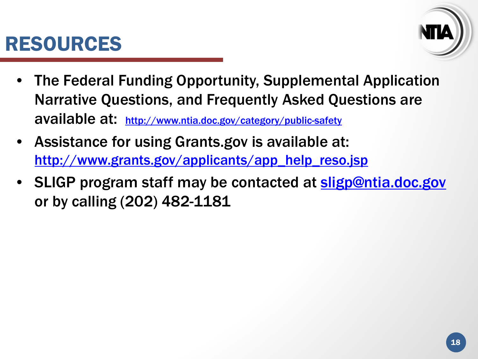### RESOURCES



- The Federal Funding Opportunity, Supplemental Application Narrative Questions, and Frequently Asked Questions are available at: <http://www.ntia.doc.gov/category/public-safety>
- Assistance for using Grants.gov is available at: [http://www.grants.gov/applicants/app\\_help\\_reso.jsp](http://www.grants.gov/applicants/app_help_reso.jsp)
- SLIGP program staff may be contacted at [sligp@ntia.doc.gov](mailto:sligp@ntia.doc.gov) or by calling (202) 482-1181